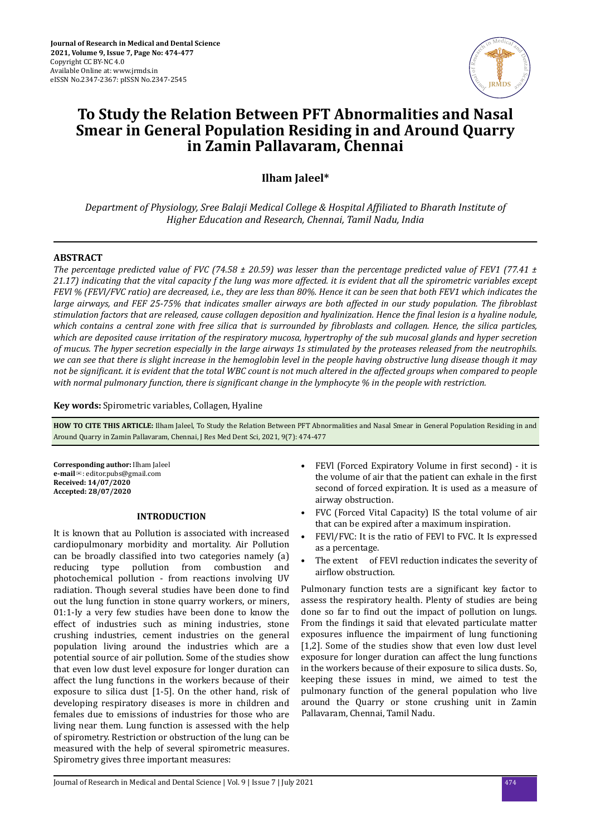

# **To Study the Relation Between PFT Abnormalities and Nasal Smear in General Population Residing in and Around Quarry in Zamin Pallavaram, Chennai**

**Ilham Jaleel\***

*Department of Physiology, Sree Balaji Medical College & Hospital Affiliated to Bharath Institute of Higher Education and Research, Chennai, Tamil Nadu, India*

# **ABSTRACT**

*The percentage predicted value of FVC (74.58 ± 20.59) was lesser than the percentage predicted value of FEV1 (77.41 ± 21.17) indicating that the vital capacity f the lung was more affected. it is evident that all the spirometric variables except FEVl % (FEVl/FVC ratio) are decreased, i.e., they are less than 80%. Hence it can be seen that both FEV1 which indicates the large airways, and FEF 25-75% that indicates smaller airways are both affected in our study population. The fibroblast stimulation factors that are released, cause collagen deposition and hyalinization. Hence the final lesion is a hyaline nodule, which contains a central zone with free silica that is surrounded by fibroblasts and collagen. Hence, the silica particles, which are deposited cause irritation of the respiratory mucosa, hypertrophy of the sub mucosal glands and hyper secretion of mucus. The hyper secretion especially in the large airways 1s stimulated by the proteases released from the neutrophils. we can see that there is slight increase in the hemoglobin level in the people having obstructive lung disease though it may not be significant. it is evident that the total WBC count is not much altered in the affected groups when compared to people with normal pulmonary function, there is significant change in the lymphocyte % in the people with restriction.* 

**Key words:** Spirometric variables, Collagen, Hyaline

**HOW TO CITE THIS ARTICLE:** Ilham Jaleel, To Study the Relation Between PFT Abnormalities and Nasal Smear in General Population Residing in and Around Quarry in Zamin Pallavaram, Chennai, J Res Med Dent Sci, 2021, 9(7): 474-477

**Corresponding author:** Ilham Jaleel **e-mail**✉: editor.pubs@gmail.com **Received: 14/07/2020 Accepted: 28/07/2020** 

## **INTRODUCTION**

It is known that au Pollution is associated with increased cardiopulmonary morbidity and mortality. Air Pollution can be broadly classified into two categories namely (a) reducing type pollution from combustion and photochemical pollution - from reactions involving UV radiation. Though several studies have been done to find out the lung function in stone quarry workers, or miners, 01:1-Iy a very few studies have been done to know the effect of industries such as mining industries, stone crushing industries, cement industries on the general population living around the industries which are a potential source of air pollution. Some of the studies show that even low dust level exposure for longer duration can affect the lung functions in the workers because of their exposure to silica dust [1-5]. On the other hand, risk of developing respiratory diseases is more in children and females due to emissions of industries for those who are living near them. Lung function is assessed with the help of spirometry. Restriction or obstruction of the lung can be measured with the help of several spirometric measures. Spirometry gives three important measures:

- FEVI (Forced Expiratory Volume in first second) it is the volume of air that the patient can exhale in the first second of forced expiration. It is used as a measure of airway obstruction.
- FVC (Forced Vital Capacity) IS the total volume of air that can be expired after a maximum inspiration.
- FEVl/FVC: It is the ratio of FEVl to FVC. It Is expressed as a percentage.
- The extent of FEVI reduction indicates the severity of airflow obstruction.

Pulmonary function tests are a significant key factor to assess the respiratory health. Plenty of studies are being done so far to find out the impact of pollution on lungs. From the findings it said that elevated particulate matter exposures influence the impairment of lung functioning [1,2]. Some of the studies show that even low dust level exposure for longer duration can affect the lung functions in the workers because of their exposure to silica dusts. So, keeping these issues in mind, we aimed to test the pulmonary function of the general population who live around the Quarry or stone crushing unit in Zamin Pallavaram, Chennai, Tamil Nadu.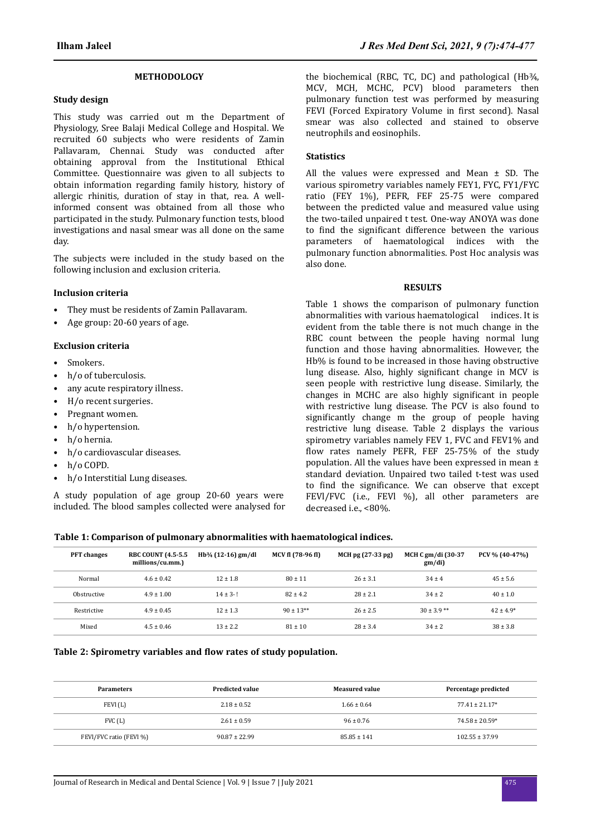#### **METHODOLOGY**

#### **Study design**

This study was carried out m the Department of Physiology, Sree Balaji Medical College and Hospital. We recruited 60 subjects who were residents of Zamin Pallavaram, Chennai. Study was conducted after obtaining approval from the Institutional Ethical Committee. Questionnaire was given to all subjects to obtain information regarding family history, history of allergic rhinitis, duration of stay in that, rea. A wellinformed consent was obtained from all those who participated in the study. Pulmonary function tests, blood investigations and nasal smear was all done on the same day.

The subjects were included in the study based on the following inclusion and exclusion criteria.

#### **Inclusion criteria**

- They must be residents of Zamin Pallavaram.
- Age group: 20-60 years of age.

## **Exclusion criteria**

- Smokers.
- h/o of tuberculosis.
- any acute respiratory illness.
- H/o recent surgeries.
- Pregnant women.
- h/o hypertension.
- h/o hernia.
- h/o cardiovascular diseases.
- h/o COPD.
- h/o Interstitial Lung diseases.

A study population of age group 20-60 years were included. The blood samples collected were analysed for the biochemical (RBC, TC, DC) and pathological (Hb¾, MCV, MCH, MCHC, PCV) blood parameters then pulmonary function test was performed by measuring FEVI (Forced Expiratory Volume in first second). Nasal smear was also collected and stained to observe neutrophils and eosinophils.

## **Statistics**

All the values were expressed and Mean ± SD. The various spirometry variables namely FEY1, FYC, FY1/FYC ratio (FEY 1%), PEFR, FEF 25-75 were compared between the predicted value and measured value using the two-tailed unpaired t test. One-way ANOYA was done to find the significant difference between the various parameters of haematological indices with the pulmonary function abnormalities. Post Hoc analysis was also done.

#### **RESULTS**

Table 1 shows the comparison of pulmonary function abnormalities with various haematological indices. It is evident from the table there is not much change in the RBC count between the people having normal lung function and those having abnormalities. However, the Hb% is found to be increased in those having obstructive lung disease. Also, highly significant change in MCV is seen people with restrictive lung disease. Similarly, the changes in MCHC are also highly significant in people with restrictive lung disease. The PCV is also found to significantly change m the group of people having restrictive lung disease. Table 2 displays the various spirometry variables namely FEV 1, FVC and FEV1% and flow rates namely PEFR, FEF 25-75% of the study population. All the values have been expressed in mean ± standard deviation. Unpaired two tailed t-test was used to find the significance. We can observe that except FEVl/FVC (i.e., FEVl %), all other parameters are decreased i.e., <80%.

| <b>PFT</b> changes | <b>RBC COUNT (4.5-5.5)</b><br>millions/cu.mm.) | $Hb3/4$ (12-16) gm/dl | MCV fl (78-96 fl) | MCH pg (27-33 pg) | MCH C gm/di (30-37<br>gm/di) | PCV % (40-47%) |
|--------------------|------------------------------------------------|-----------------------|-------------------|-------------------|------------------------------|----------------|
| Normal             | $4.6 \pm 0.42$                                 | $12 \pm 1.8$          | $80 \pm 11$       | $26 \pm 3.1$      | $34 \pm 4$                   | $45 \pm 5.6$   |
| Obstructive        | $4.9 \pm 1.00$                                 | $14 \pm 3 - 1$        | $82 \pm 4.2$      | $28 \pm 2.1$      | $34 \pm 2$                   | $40 \pm 1.0$   |
| Restrictive        | $4.9 \pm 0.45$                                 | $12 \pm 1.3$          | $90 \pm 13**$     | $26 \pm 2.5$      | $30 \pm 3.9$ **              | $42 \pm 4.9*$  |
| Mixed              | $4.5 \pm 0.46$                                 | $13 \pm 2.2$          | $81 \pm 10$       | $28 \pm 3.4$      | $34 \pm 2$                   | $38 \pm 3.8$   |

## **Table 2: Spirometry variables and flow rates of study population.**

| <b>Parameters</b>       | <b>Predicted value</b> | <b>Measured value</b> | Percentage predicted |
|-------------------------|------------------------|-----------------------|----------------------|
| FEVI(L)                 | $2.18 \pm 0.52$        | $1.66 \pm 0.64$       | $77.41 \pm 21.17*$   |
| FVC(L)                  | $2.61 \pm 0.59$        | $96 \pm 0.76$         | $74.58 \pm 20.59*$   |
| FEVI/FVC ratio (FEVI %) | $90.87 \pm 22.99$      | $85.85 \pm 141$       | $102.55 \pm 37.99$   |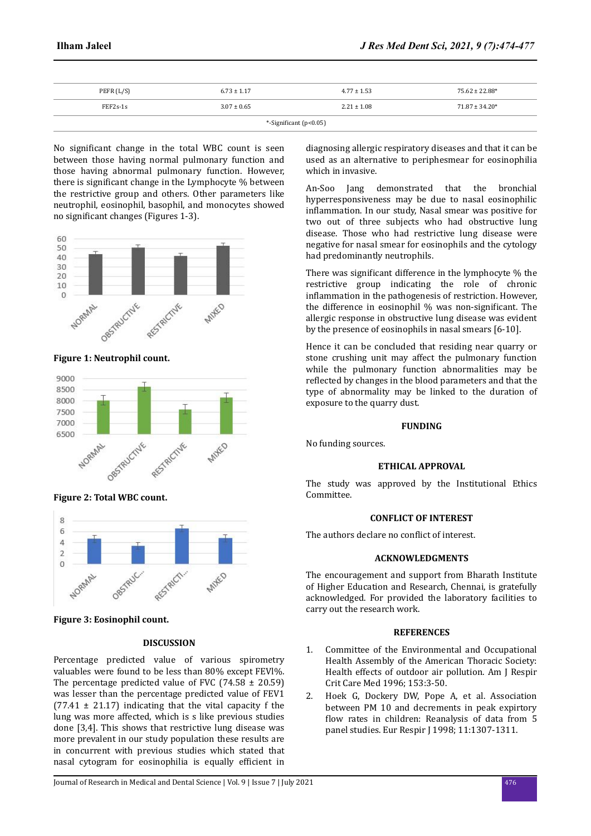| PEFR (L/S)             | $6.73 \pm 1.17$ | $4.77 \pm 1.53$ | $75.62 \pm 22.88*$ |  |  |  |
|------------------------|-----------------|-----------------|--------------------|--|--|--|
| $FEF2s-1s$             | $3.07 \pm 0.65$ | $2.21 \pm 1.08$ | $71.87 \pm 34.20*$ |  |  |  |
| *-Significant (p<0.05) |                 |                 |                    |  |  |  |

No significant change in the total WBC count is seen between those having normal pulmonary function and those having abnormal pulmonary function. However, there is significant change in the Lymphocyte % between the restrictive group and others. Other parameters like neutrophil, eosinophil, basophil, and monocytes showed no significant changes (Figures 1-3).



**Figure 1: Neutrophil count.**



**Figure 2: Total WBC count.**



**Figure 3: Eosinophil count.**

# **DISCUSSION**

Percentage predicted value of various spirometry valuables were found to be less than 80% except FEVl%. The percentage predicted value of FVC (74.58  $\pm$  20.59) was lesser than the percentage predicted value of FEV1  $(77.41 \pm 21.17)$  indicating that the vital capacity f the lung was more affected, which is s like previous studies done [3,4]. This shows that restrictive lung disease was more prevalent in our study population these results are in concurrent with previous studies which stated that nasal cytogram for eosinophilia is equally efficient in

diagnosing allergic respiratory diseases and that it can be used as an alternative to periphesmear for eosinophilia which in invasive.

An-Soo Jang demonstrated that the bronchial hyperresponsiveness may be due to nasal eosinophilic inflammation. In our study, Nasal smear was positive for two out of three subjects who had obstructive lung disease. Those who had restrictive lung disease were negative for nasal smear for eosinophils and the cytology had predominantly neutrophils.

There was significant difference in the lymphocyte  $%$  the restrictive group indicating the role of chronic inflammation in the pathogenesis of restriction. However, the difference in eosinophil  $%$  was non-significant. The allergic response in obstructive lung disease was evident by the presence of eosinophils in nasal smears [6-10].

Hence it can be concluded that residing near quarry or stone crushing unit may affect the pulmonary function while the pulmonary function abnormalities may be reflected by changes in the blood parameters and that the type of abnormality may be linked to the duration of exposure to the quarry dust.

#### **FUNDING**

No funding sources.

# **ETHICAL APPROVAL**

The study was approved by the Institutional Ethics Committee.

# **CONFLICT OF INTEREST**

The authors declare no conflict of interest.

# **ACKNOWLEDGMENTS**

The encouragement and support from Bharath Institute of Higher Education and Research, Chennai, is gratefully acknowledged. For provided the laboratory facilities to carry out the research work.

# **REFERENCES**

- 1. Committee of the Environmental and Occupational Health Assembly of the American Thoracic Society: Health effects of outdoor air pollution. Am J Respir Crit Care Med 1996; 153:3-50.
- 2. Hoek G, Dockery DW, Pope A, et al. Association between PM 10 and decrements in peak expirtory flow rates in children: Reanalysis of data from 5 panel studies. Eur Respir J 1998; 11:1307-1311.